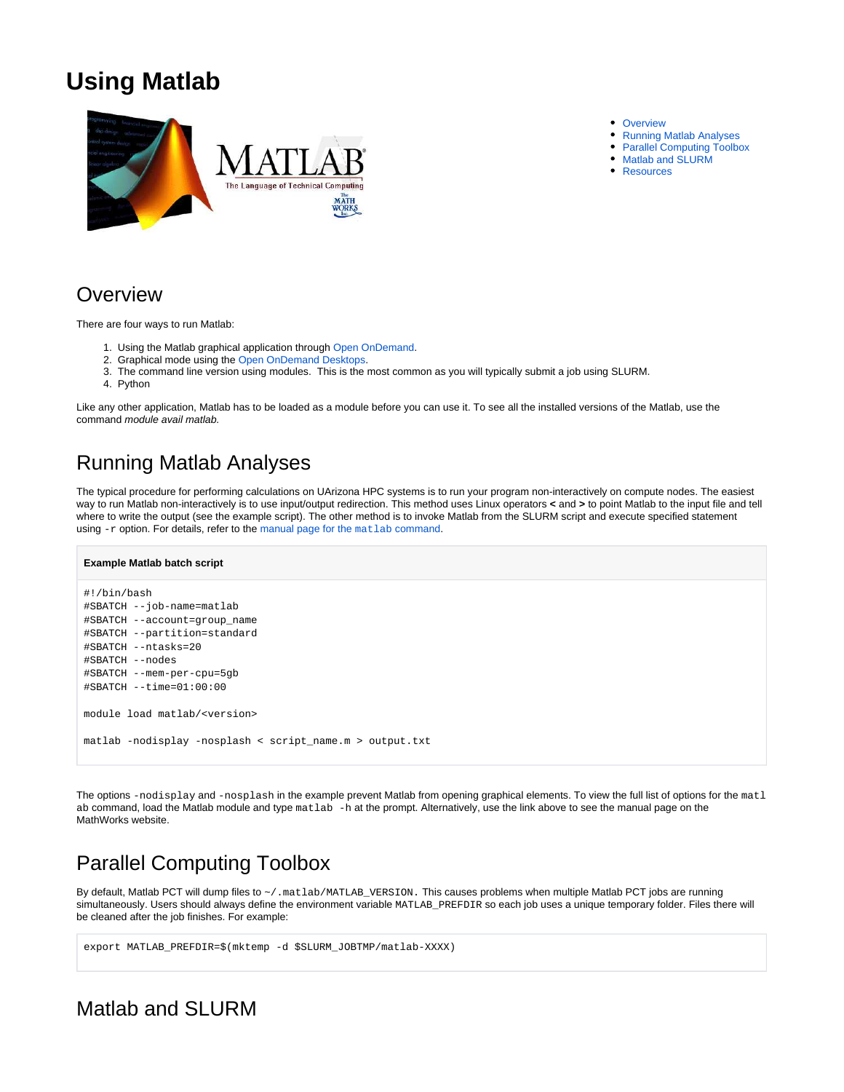# **Using Matlab**



#### • [Overview](#page-0-0)

- $\bullet$ [Running Matlab Analyses](#page-0-1)
- [Parallel Computing Toolbox](#page-0-2)
- [Matlab and SLURM](#page-0-3)
- [Resources](#page-1-0)

## <span id="page-0-0"></span>**Overview**

There are four ways to run Matlab:

- 1. Using the Matlab graphical application through [Open OnDemand.](https://ood.hpc.arizona.edu/)
- 2. Graphical mode using the [Open OnDemand Desktops](http://public.confluence.arizona.edu/display/UAHPC/Visualization).
- 3. The command line version using modules. This is the most common as you will typically submit a job using SLURM.
- 4. Python

Like any other application, Matlab has to be loaded as a module before you can use it. To see all the installed versions of the Matlab, use the command module avail matlab.

## <span id="page-0-1"></span>Running Matlab Analyses

The typical procedure for performing calculations on UArizona HPC systems is to run your program non-interactively on compute nodes. The easiest way to run Matlab non-interactively is to use input/output redirection. This method uses Linux operators **<** and **>** to point Matlab to the input file and tell where to write the output (see the example script). The other method is to invoke Matlab from the SLURM script and execute specified statement using -r option. For details, refer to the [manual page for the](https://www.mathworks.com/help/matlab/ref/matlablinux.html) matlab command.

#### **Example Matlab batch script**

```
#!/bin/bash
#SBATCH --job-name=matlab
#SBATCH --account=group_name
#SBATCH --partition=standard
#SBATCH --ntasks=20 
#SBATCH --nodes
#SBATCH --mem-per-cpu=5gb
#SBATCH --time=01:00:00
module load matlab/<version>
matlab -nodisplay -nosplash < script_name.m > output.txt
```
The options -nodisplay and -nosplash in the example prevent Matlab from opening graphical elements. To view the full list of options for the matl ab command, load the Matlab module and type matlab -h at the prompt. Alternatively, use the link above to see the manual page on the MathWorks website.

## <span id="page-0-2"></span>Parallel Computing Toolbox

By default, Matlab PCT will dump files to ~/.matlab/MATLAB\_VERSION. This causes problems when multiple Matlab PCT jobs are running simultaneously. Users should always define the environment variable MATLAB\_PREFDIR so each job uses a unique temporary folder. Files there will be cleaned after the job finishes. For example:

```
export MATLAB_PREFDIR=$(mktemp -d $SLURM_JOBTMP/matlab-XXXX)
```
### <span id="page-0-3"></span>Matlab and SLURM